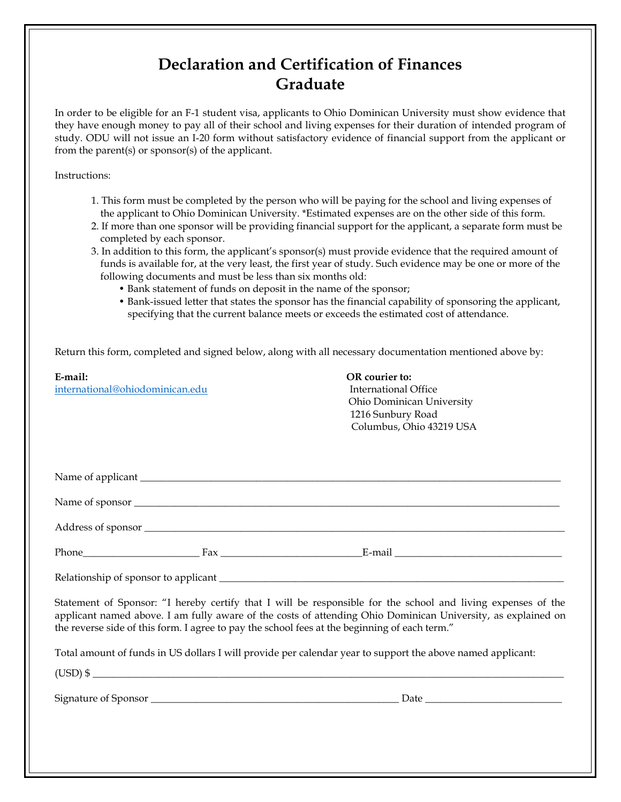## **Declaration and Certification of Finances Graduate**

In order to be eligible for an F-1 student visa, applicants to Ohio Dominican University must show evidence that they have enough money to pay all of their school and living expenses for their duration of intended program of study. ODU will not issue an I-20 form without satisfactory evidence of financial support from the applicant or from the parent(s) or sponsor(s) of the applicant.

Instructions:

| 1. This form must be completed by the person who will be paying for the school and living expenses of |
|-------------------------------------------------------------------------------------------------------|
| the applicant to Ohio Dominican University. *Estimated expenses are on the other side of this form.   |

- 2. If more than one sponsor will be providing financial support for the applicant, a separate form must be completed by each sponsor.
- 3. In addition to this form, the applicant's sponsor(s) must provide evidence that the required amount of funds is available for, at the very least, the first year of study. Such evidence may be one or more of the following documents and must be less than six months old:
	- Bank statement of funds on deposit in the name of the sponsor;
	- Bank-issued letter that states the sponsor has the financial capability of sponsoring the applicant, specifying that the current balance meets or exceeds the estimated cost of attendance.

Return this form, completed and signed below, along with all necessary documentation mentioned above by:

| E-mail:<br>international@ohiodominican.edu                                                                                                                                                                                                                                                                                    | OR courier to:<br><b>International Office</b><br>Ohio Dominican University<br>1216 Sunbury Road<br>Columbus, Ohio 43219 USA |
|-------------------------------------------------------------------------------------------------------------------------------------------------------------------------------------------------------------------------------------------------------------------------------------------------------------------------------|-----------------------------------------------------------------------------------------------------------------------------|
|                                                                                                                                                                                                                                                                                                                               |                                                                                                                             |
|                                                                                                                                                                                                                                                                                                                               |                                                                                                                             |
|                                                                                                                                                                                                                                                                                                                               |                                                                                                                             |
|                                                                                                                                                                                                                                                                                                                               |                                                                                                                             |
| Relationship of sponsor to applicant entertainment and the state of sponsor to applicant                                                                                                                                                                                                                                      |                                                                                                                             |
| Statement of Sponsor: "I hereby certify that I will be responsible for the school and living expenses of the<br>applicant named above. I am fully aware of the costs of attending Ohio Dominican University, as explained on<br>the reverse side of this form. I agree to pay the school fees at the beginning of each term." |                                                                                                                             |
| Total amount of funds in US dollars I will provide per calendar year to support the above named applicant:                                                                                                                                                                                                                    |                                                                                                                             |
| $(USD)$ \$                                                                                                                                                                                                                                                                                                                    |                                                                                                                             |
|                                                                                                                                                                                                                                                                                                                               |                                                                                                                             |
|                                                                                                                                                                                                                                                                                                                               |                                                                                                                             |
|                                                                                                                                                                                                                                                                                                                               |                                                                                                                             |